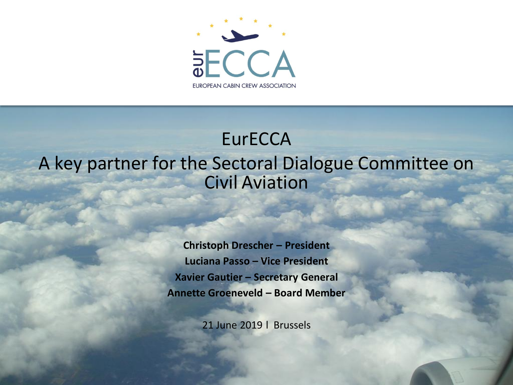

#### **EurECCA** A key partner for the Sectoral Dialogue Committee on Civil Aviation

**Christoph Drescher – President Luciana Passo – Vice President Xavier Gautier – Secretary General Annette Groeneveld – Board Member** 

21 June 2019 l Brussels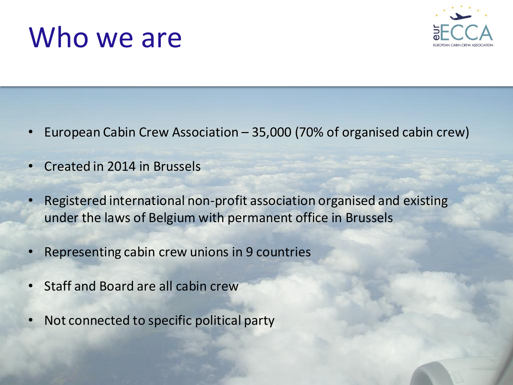#### Who we are



- European Cabin Crew Association 35,000 (70% of organised cabin crew)
- Created in 2014 in Brussels
- Registered international non-profit association organised and existing under the laws of Belgium with permanent office in Brussels
- Representing cabin crew unions in 9 countries
- Staff and Board are all cabin crew
- Not connected to specific political party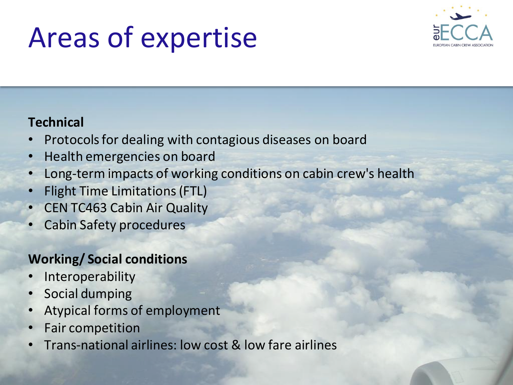### Areas of expertise



#### **Technical**

- Protocols for dealing with contagious diseases on board
- Health emergencies on board
- Long-term impacts of working conditions on cabin crew's health
- Flight Time Limitations (FTL)
- CEN TC463 Cabin Air Quality
- Cabin Safety procedures

#### **Working/ Social conditions**

- **Interoperability**
- Social dumping
- Atypical forms of employment
- Fair competition
- Trans-national airlines: low cost & low fare airlines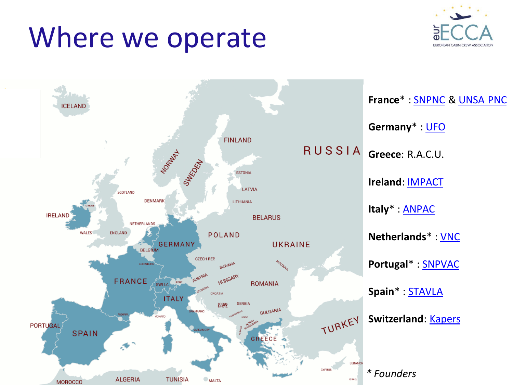#### Where we operate



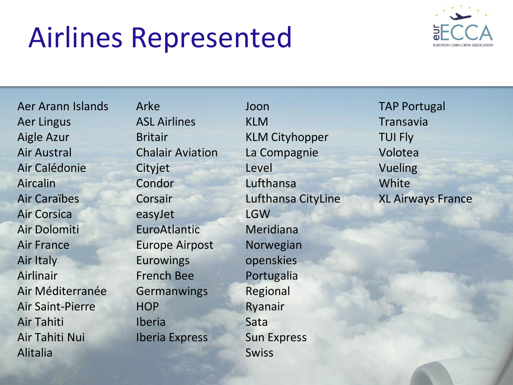### Airlines Represented



Aer Arann Islands Aer Lingus Aigle Azur Air Austral Air Calédonie Aircalin Air Caraïbes Air Corsica Air Dolomiti Air France Air Italy Airlinair Air Méditerranée Air Saint-Pierre Air Tahiti Air Tahiti Nui Alitalia

Arke ASL Airlines Britair Chalair Aviation Cityjet Condor Corsair easyJet EuroAtlantic Europe Airpost Eurowings French Bee **Germanwings HOP** Iberia Iberia Express

Joon KLM KLM Cityhopper La Compagnie Level Lufthansa Lufthansa CityLine LGW Meridiana Norwegian openskies Portugalia Regional Ryanair Sata Sun Express Swiss

TAP Portugal Transavia TUI Fly Volotea Vueling **White** XL Airways France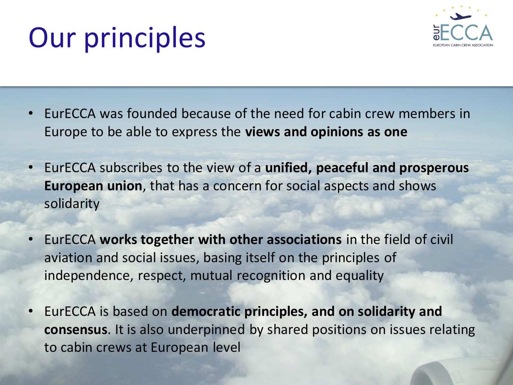## Our principles



- EurECCA was founded because of the need for cabin crew members in Europe to be able to express the **views and opinions as one**
- EurECCA subscribes to the view of a **unified, peaceful and prosperous European union**, that has a concern for social aspects and shows solidarity
- EurECCA **works together with other associations** in the field of civil aviation and social issues, basing itself on the principles of independence, respect, mutual recognition and equality
- EurECCA is based on **democratic principles, and on solidarity and consensus**. It is also underpinned by shared positions on issues relating to cabin crews at European level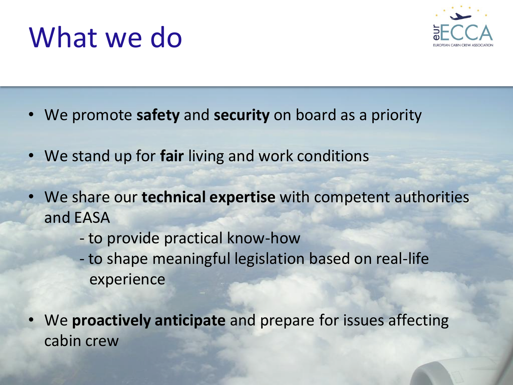### What we do



- We promote **safety** and **security** on board as a priority
- We stand up for **fair** living and work conditions
- We share our **technical expertise** with competent authorities and EASA
	- to provide practical know-how
	- to shape meaningful legislation based on real-life experience
- We **proactively anticipate** and prepare for issues affecting cabin crew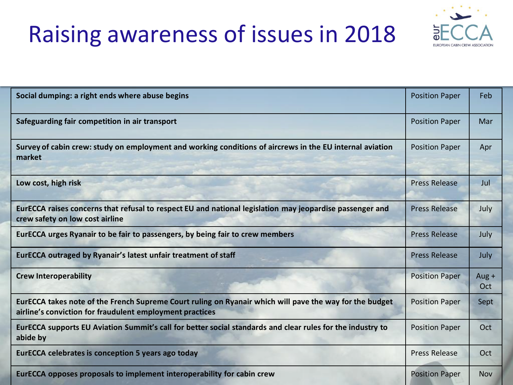#### Raising awareness of issues in 2018



| Social dumping: a right ends where abuse begins                                                                                                                     | <b>Position Paper</b> | Feb            |
|---------------------------------------------------------------------------------------------------------------------------------------------------------------------|-----------------------|----------------|
| Safeguarding fair competition in air transport                                                                                                                      | <b>Position Paper</b> | Mar            |
| Survey of cabin crew: study on employment and working conditions of aircrews in the EU internal aviation<br>market                                                  | <b>Position Paper</b> | Apr            |
| Low cost, high risk                                                                                                                                                 | <b>Press Release</b>  | Jul            |
| EurECCA raises concerns that refusal to respect EU and national legislation may jeopardise passenger and<br>crew safety on low cost airline                         | <b>Press Release</b>  | July           |
| EurECCA urges Ryanair to be fair to passengers, by being fair to crew members                                                                                       | <b>Press Release</b>  | July           |
| EurECCA outraged by Ryanair's latest unfair treatment of staff                                                                                                      | <b>Press Release</b>  | July           |
| <b>Crew Interoperability</b>                                                                                                                                        | <b>Position Paper</b> | Aug $+$<br>Oct |
| EurECCA takes note of the French Supreme Court ruling on Ryanair which will pave the way for the budget<br>airline's conviction for fraudulent employment practices | <b>Position Paper</b> | Sept           |
| EurECCA supports EU Aviation Summit's call for better social standards and clear rules for the industry to<br>abide by                                              | <b>Position Paper</b> | Oct            |
| <b>EurECCA celebrates is conception 5 years ago today</b>                                                                                                           | <b>Press Release</b>  | Oct            |
| EurECCA opposes proposals to implement interoperability for cabin crew                                                                                              | <b>Position Paper</b> | <b>Nov</b>     |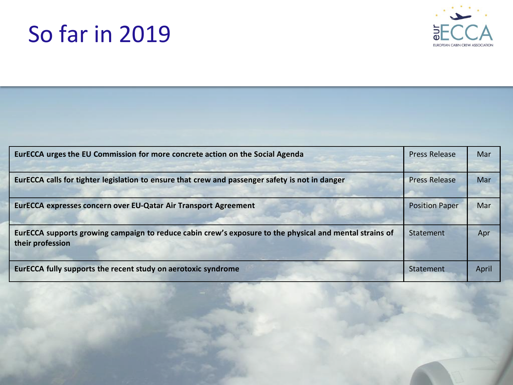#### So far in 2019



| EurECCA urges the EU Commission for more concrete action on the Social Agenda                                               | <b>Press Release</b>  | Mar   |
|-----------------------------------------------------------------------------------------------------------------------------|-----------------------|-------|
| EurECCA calls for tighter legislation to ensure that crew and passenger safety is not in danger                             | <b>Press Release</b>  | Mar   |
| EurECCA expresses concern over EU-Qatar Air Transport Agreement                                                             | <b>Position Paper</b> | Mar   |
| EurECCA supports growing campaign to reduce cabin crew's exposure to the physical and mental strains of<br>their profession | Statement             | Apr   |
| EurECCA fully supports the recent study on aerotoxic syndrome                                                               | Statement             | April |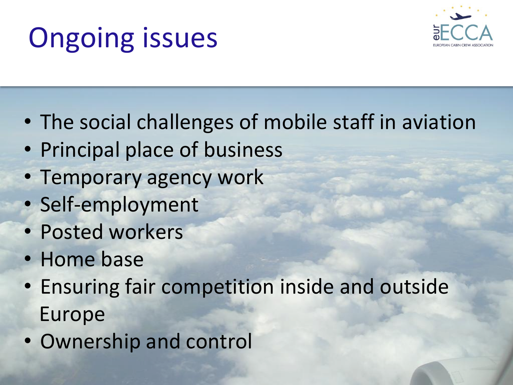## Ongoing issues



- The social challenges of mobile staff in aviation
- Principal place of business
- Temporary agency work
- Self-employment
- Posted workers
- Home base
- Ensuring fair competition inside and outside Europe
- Ownership and control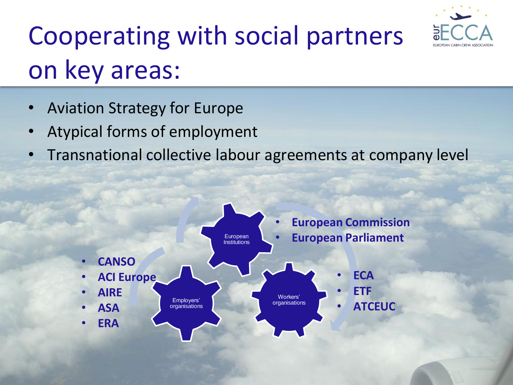

## Cooperating with social partners on key areas:

- Aviation Strategy for Europe
- Atypical forms of employment
- Transnational collective labour agreements at company level

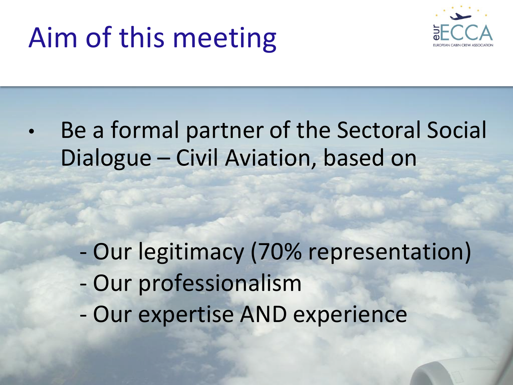### Aim of this meeting



• Be a formal partner of the Sectoral Social Dialogue – Civil Aviation, based on

- Our legitimacy (70% representation)
- Our professionalism
- Our expertise AND experience